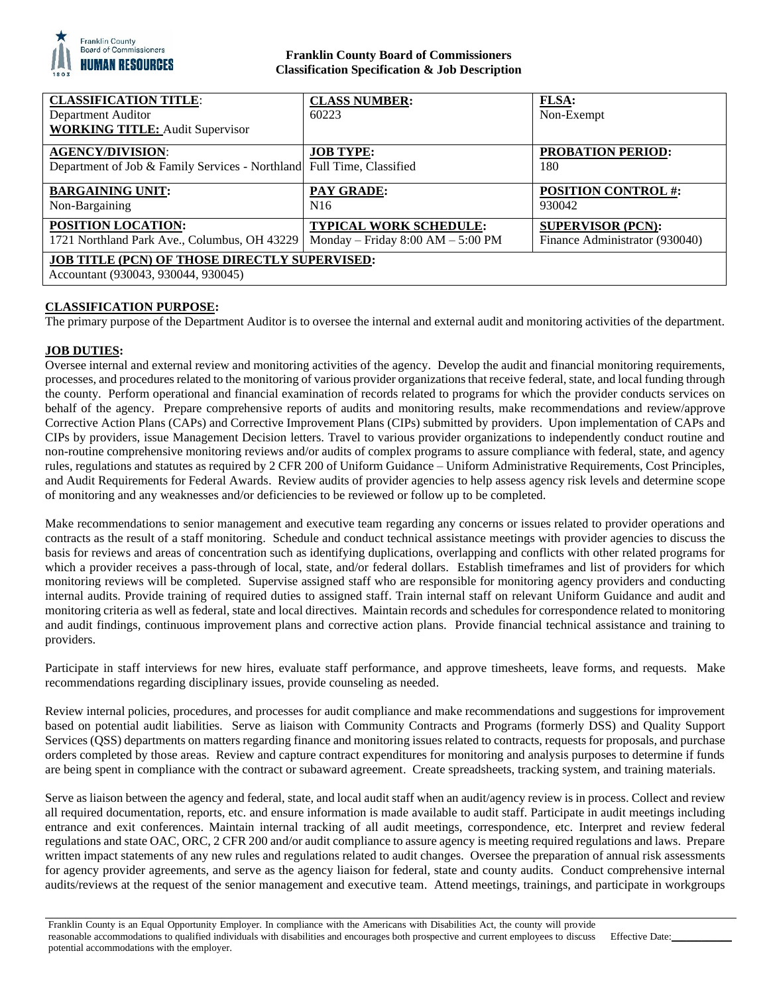

# **Franklin County Board of Commissioners Classification Specification & Job Description**

| <b>CLASSIFICATION TITLE:</b><br>Department Auditor                                          | <b>CLASS NUMBER:</b><br>60223       | <b>FLSA:</b><br>Non-Exempt     |
|---------------------------------------------------------------------------------------------|-------------------------------------|--------------------------------|
| <b>WORKING TITLE: Audit Supervisor</b>                                                      |                                     |                                |
| <b>AGENCY/DIVISION:</b>                                                                     | <b>JOB TYPE:</b>                    | <b>PROBATION PERIOD:</b>       |
| Department of Job & Family Services - Northland Full Time, Classified                       |                                     | 180                            |
| <b>BARGAINING UNIT:</b>                                                                     | <b>PAY GRADE:</b>                   | <b>POSITION CONTROL #:</b>     |
| Non-Bargaining                                                                              | N <sub>16</sub>                     | 930042                         |
| POSITION LOCATION:                                                                          | <b>TYPICAL WORK SCHEDULE:</b>       | <b>SUPERVISOR (PCN):</b>       |
| 1721 Northland Park Ave., Columbus, OH 43229                                                | Monday – Friday $8:00 AM - 5:00 PM$ | Finance Administrator (930040) |
| <b>JOB TITLE (PCN) OF THOSE DIRECTLY SUPERVISED:</b><br>Accountant (930043, 930044, 930045) |                                     |                                |

# **CLASSIFICATION PURPOSE:**

The primary purpose of the Department Auditor is to oversee the internal and external audit and monitoring activities of the department.

### **JOB DUTIES:**

Oversee internal and external review and monitoring activities of the agency. Develop the audit and financial monitoring requirements, processes, and procedures related to the monitoring of various provider organizations that receive federal, state, and local funding through the county. Perform operational and financial examination of records related to programs for which the provider conducts services on behalf of the agency. Prepare comprehensive reports of audits and monitoring results, make recommendations and review/approve Corrective Action Plans (CAPs) and Corrective Improvement Plans (CIPs) submitted by providers. Upon implementation of CAPs and CIPs by providers, issue Management Decision letters. Travel to various provider organizations to independently conduct routine and non-routine comprehensive monitoring reviews and/or audits of complex programs to assure compliance with federal, state, and agency rules, regulations and statutes as required by 2 CFR 200 of Uniform Guidance – Uniform Administrative Requirements, Cost Principles, and Audit Requirements for Federal Awards. Review audits of provider agencies to help assess agency risk levels and determine scope of monitoring and any weaknesses and/or deficiencies to be reviewed or follow up to be completed.

Make recommendations to senior management and executive team regarding any concerns or issues related to provider operations and contracts as the result of a staff monitoring. Schedule and conduct technical assistance meetings with provider agencies to discuss the basis for reviews and areas of concentration such as identifying duplications, overlapping and conflicts with other related programs for which a provider receives a pass-through of local, state, and/or federal dollars. Establish timeframes and list of providers for which monitoring reviews will be completed. Supervise assigned staff who are responsible for monitoring agency providers and conducting internal audits. Provide training of required duties to assigned staff. Train internal staff on relevant Uniform Guidance and audit and monitoring criteria as well as federal, state and local directives. Maintain records and schedules for correspondence related to monitoring and audit findings, continuous improvement plans and corrective action plans. Provide financial technical assistance and training to providers.

Participate in staff interviews for new hires, evaluate staff performance, and approve timesheets, leave forms, and requests. Make recommendations regarding disciplinary issues, provide counseling as needed.

Review internal policies, procedures, and processes for audit compliance and make recommendations and suggestions for improvement based on potential audit liabilities. Serve as liaison with Community Contracts and Programs (formerly DSS) and Quality Support Services (QSS) departments on matters regarding finance and monitoring issues related to contracts, requests for proposals, and purchase orders completed by those areas. Review and capture contract expenditures for monitoring and analysis purposes to determine if funds are being spent in compliance with the contract or subaward agreement. Create spreadsheets, tracking system, and training materials.

Serve as liaison between the agency and federal, state, and local audit staff when an audit/agency review is in process. Collect and review all required documentation, reports, etc. and ensure information is made available to audit staff. Participate in audit meetings including entrance and exit conferences. Maintain internal tracking of all audit meetings, correspondence, etc. Interpret and review federal regulations and state OAC, ORC, 2 CFR 200 and/or audit compliance to assure agency is meeting required regulations and laws. Prepare written impact statements of any new rules and regulations related to audit changes. Oversee the preparation of annual risk assessments for agency provider agreements, and serve as the agency liaison for federal, state and county audits. Conduct comprehensive internal audits/reviews at the request of the senior management and executive team. Attend meetings, trainings, and participate in workgroups